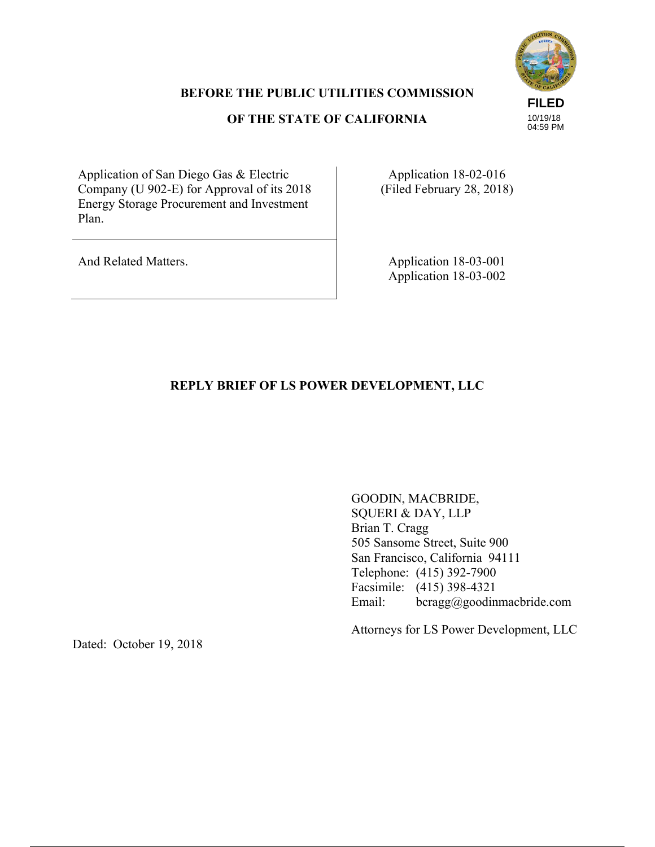## **BEFORE THE PUBLIC UTILITIES COMMISSION**

## **OF THE STATE OF CALIFORNIA**



Application of San Diego Gas & Electric Company (U 902-E) for Approval of its 2018 Energy Storage Procurement and Investment Plan.

Application 18-02-016 (Filed February 28, 2018)

And Related Matters. Application 18-03-001 Application 18-03-002

# **REPLY BRIEF OF LS POWER DEVELOPMENT, LLC**

GOODIN, MACBRIDE, SQUERI & DAY, LLP Brian T. Cragg 505 Sansome Street, Suite 900 San Francisco, California 94111 Telephone: (415) 392-7900 Facsimile: (415) 398-4321 Email: bcragg@goodinmacbride.com

Attorneys for LS Power Development, LLC

Dated: October 19, 2018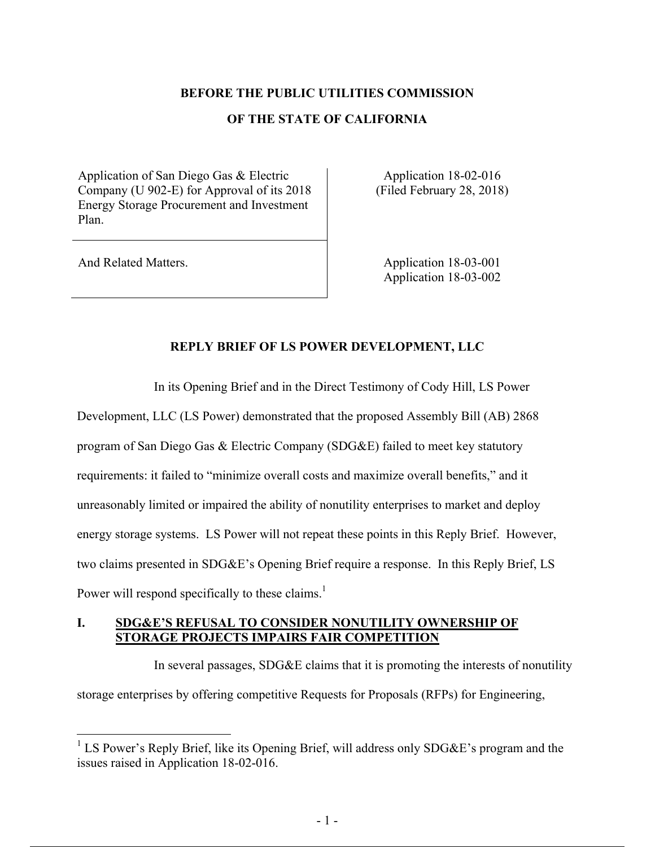#### **BEFORE THE PUBLIC UTILITIES COMMISSION**

#### **OF THE STATE OF CALIFORNIA**

Application of San Diego Gas & Electric Company (U 902-E) for Approval of its 2018 Energy Storage Procurement and Investment Plan.

Application 18-02-016 (Filed February 28, 2018)

 $\overline{a}$ 

And Related Matters. Application 18-03-001 Application 18-03-002

### **REPLY BRIEF OF LS POWER DEVELOPMENT, LLC**

In its Opening Brief and in the Direct Testimony of Cody Hill, LS Power

Development, LLC (LS Power) demonstrated that the proposed Assembly Bill (AB) 2868 program of San Diego Gas & Electric Company (SDG&E) failed to meet key statutory requirements: it failed to "minimize overall costs and maximize overall benefits," and it unreasonably limited or impaired the ability of nonutility enterprises to market and deploy energy storage systems. LS Power will not repeat these points in this Reply Brief. However, two claims presented in SDG&E's Opening Brief require a response. In this Reply Brief, LS Power will respond specifically to these claims.<sup>1</sup>

### **I. SDG&E'S REFUSAL TO CONSIDER NONUTILITY OWNERSHIP OF STORAGE PROJECTS IMPAIRS FAIR COMPETITION**

In several passages, SDG&E claims that it is promoting the interests of nonutility storage enterprises by offering competitive Requests for Proposals (RFPs) for Engineering,

<sup>&</sup>lt;sup>1</sup> LS Power's Reply Brief, like its Opening Brief, will address only SDG&E's program and the issues raised in Application 18-02-016.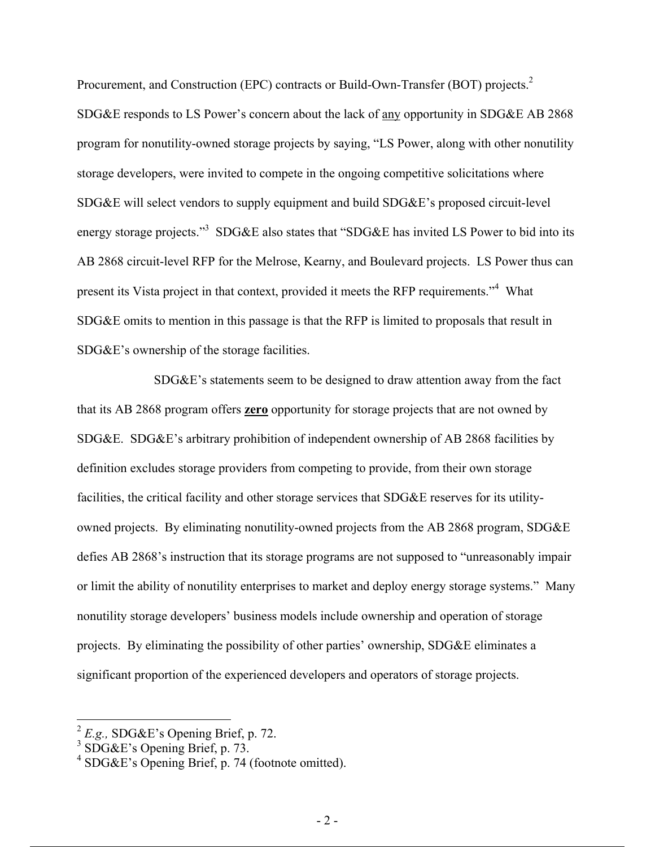Procurement, and Construction (EPC) contracts or Build-Own-Transfer (BOT) projects.<sup>2</sup> SDG&E responds to LS Power's concern about the lack of any opportunity in SDG&E AB 2868 program for nonutility-owned storage projects by saying, "LS Power, along with other nonutility storage developers, were invited to compete in the ongoing competitive solicitations where SDG&E will select vendors to supply equipment and build SDG&E's proposed circuit-level energy storage projects."<sup>3</sup> SDG&E also states that "SDG&E has invited LS Power to bid into its AB 2868 circuit-level RFP for the Melrose, Kearny, and Boulevard projects. LS Power thus can present its Vista project in that context, provided it meets the RFP requirements.<sup>34</sup> What SDG&E omits to mention in this passage is that the RFP is limited to proposals that result in SDG&E's ownership of the storage facilities.

SDG&E's statements seem to be designed to draw attention away from the fact that its AB 2868 program offers **zero** opportunity for storage projects that are not owned by SDG&E. SDG&E's arbitrary prohibition of independent ownership of AB 2868 facilities by definition excludes storage providers from competing to provide, from their own storage facilities, the critical facility and other storage services that SDG&E reserves for its utilityowned projects. By eliminating nonutility-owned projects from the AB 2868 program, SDG&E defies AB 2868's instruction that its storage programs are not supposed to "unreasonably impair or limit the ability of nonutility enterprises to market and deploy energy storage systems." Many nonutility storage developers' business models include ownership and operation of storage projects. By eliminating the possibility of other parties' ownership, SDG&E eliminates a significant proportion of the experienced developers and operators of storage projects.

 $2^2$  *E.g.*, SDG&E's Opening Brief, p. 72.<br>  $3^3$  SDG&E's Opening Brief, p. 73.

<sup>4</sup> SDG&E's Opening Brief, p. 74 (footnote omitted).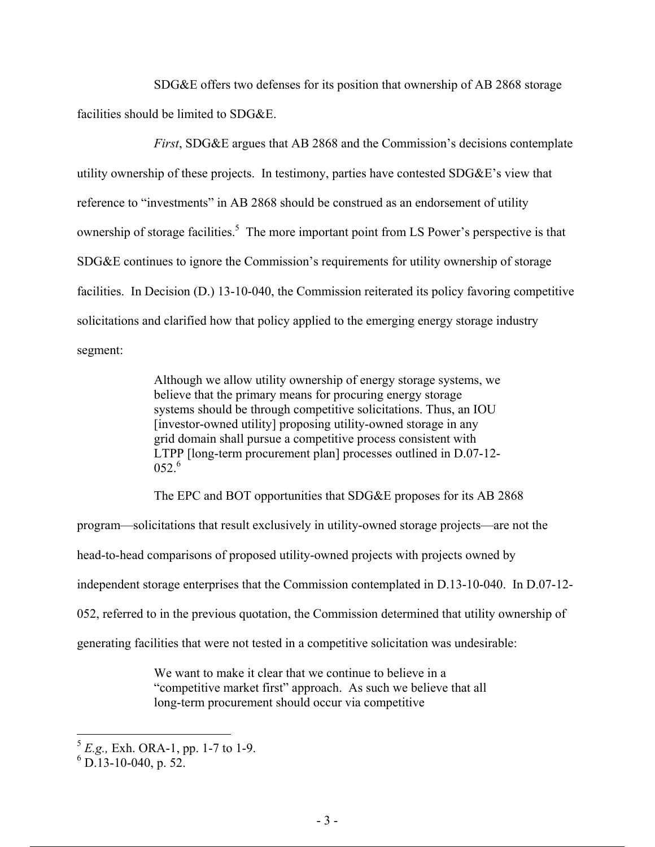SDG&E offers two defenses for its position that ownership of AB 2868 storage facilities should be limited to SDG&E.

*First*, SDG&E argues that AB 2868 and the Commission's decisions contemplate utility ownership of these projects. In testimony, parties have contested SDG&E's view that reference to "investments" in AB 2868 should be construed as an endorsement of utility ownership of storage facilities.<sup>5</sup> The more important point from LS Power's perspective is that SDG&E continues to ignore the Commission's requirements for utility ownership of storage facilities. In Decision (D.) 13-10-040, the Commission reiterated its policy favoring competitive solicitations and clarified how that policy applied to the emerging energy storage industry segment:

> Although we allow utility ownership of energy storage systems, we believe that the primary means for procuring energy storage systems should be through competitive solicitations. Thus, an IOU [investor-owned utility] proposing utility-owned storage in any grid domain shall pursue a competitive process consistent with LTPP [long-term procurement plan] processes outlined in D.07-12-  $0.52<sup>6</sup>$

The EPC and BOT opportunities that SDG&E proposes for its AB 2868

program—solicitations that result exclusively in utility-owned storage projects—are not the

head-to-head comparisons of proposed utility-owned projects with projects owned by

independent storage enterprises that the Commission contemplated in D.13-10-040. In D.07-12-

052, referred to in the previous quotation, the Commission determined that utility ownership of

generating facilities that were not tested in a competitive solicitation was undesirable:

We want to make it clear that we continue to believe in a "competitive market first" approach. As such we believe that all long-term procurement should occur via competitive

<sup>5</sup> *E.g.,* Exh. ORA-1, pp. 1-7 to 1-9.

 $^{6}$  D.13-10-040, p. 52.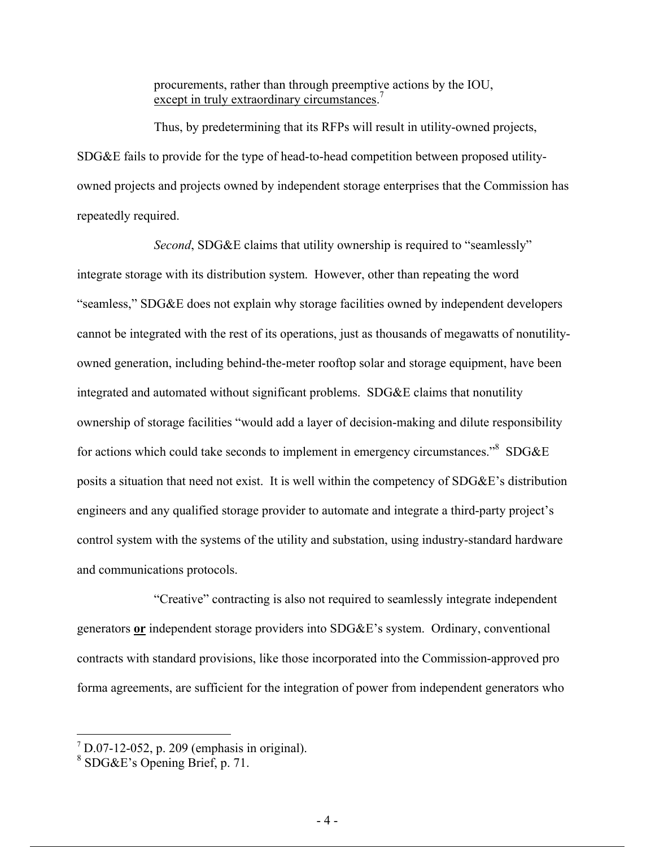procurements, rather than through preemptive actions by the IOU, except in truly extraordinary circumstances.<sup>7</sup>

Thus, by predetermining that its RFPs will result in utility-owned projects, SDG&E fails to provide for the type of head-to-head competition between proposed utilityowned projects and projects owned by independent storage enterprises that the Commission has repeatedly required.

*Second*, SDG&E claims that utility ownership is required to "seamlessly" integrate storage with its distribution system. However, other than repeating the word "seamless," SDG&E does not explain why storage facilities owned by independent developers cannot be integrated with the rest of its operations, just as thousands of megawatts of nonutilityowned generation, including behind-the-meter rooftop solar and storage equipment, have been integrated and automated without significant problems. SDG&E claims that nonutility ownership of storage facilities "would add a layer of decision-making and dilute responsibility for actions which could take seconds to implement in emergency circumstances.<sup>38</sup> SDG&E posits a situation that need not exist. It is well within the competency of SDG&E's distribution engineers and any qualified storage provider to automate and integrate a third-party project's control system with the systems of the utility and substation, using industry-standard hardware and communications protocols.

"Creative" contracting is also not required to seamlessly integrate independent generators **or** independent storage providers into SDG&E's system. Ordinary, conventional contracts with standard provisions, like those incorporated into the Commission-approved pro forma agreements, are sufficient for the integration of power from independent generators who

 ${}^{7}$  D.07-12-052, p. 209 (emphasis in original).<br><sup>8</sup> SDG&E's Opening Brief, p. 71.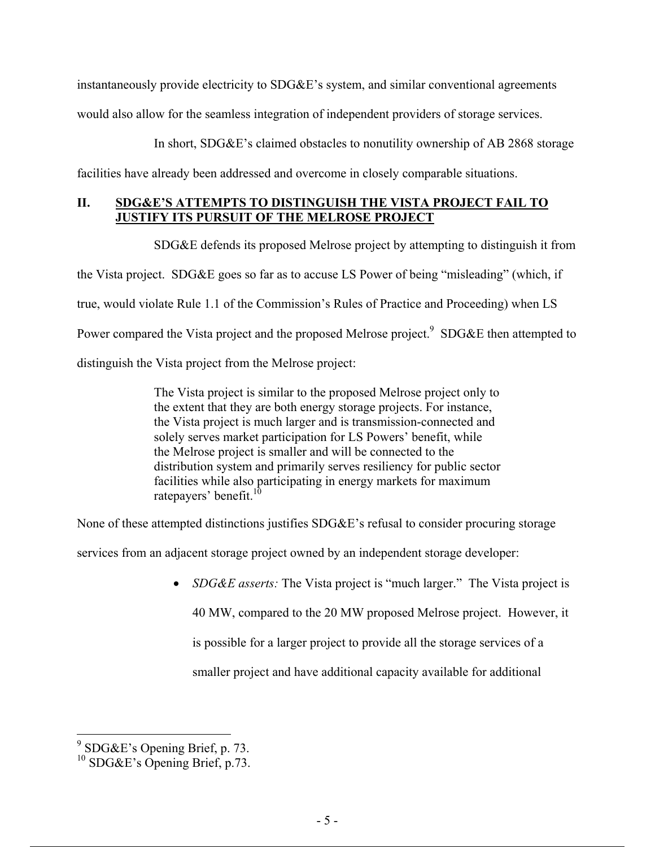instantaneously provide electricity to SDG&E's system, and similar conventional agreements would also allow for the seamless integration of independent providers of storage services.

In short, SDG&E's claimed obstacles to nonutility ownership of AB 2868 storage

facilities have already been addressed and overcome in closely comparable situations.

### **II. SDG&E'S ATTEMPTS TO DISTINGUISH THE VISTA PROJECT FAIL TO JUSTIFY ITS PURSUIT OF THE MELROSE PROJECT**

SDG&E defends its proposed Melrose project by attempting to distinguish it from

the Vista project. SDG&E goes so far as to accuse LS Power of being "misleading" (which, if

true, would violate Rule 1.1 of the Commission's Rules of Practice and Proceeding) when LS

Power compared the Vista project and the proposed Melrose project.<sup>9</sup> SDG&E then attempted to

distinguish the Vista project from the Melrose project:

The Vista project is similar to the proposed Melrose project only to the extent that they are both energy storage projects. For instance, the Vista project is much larger and is transmission-connected and solely serves market participation for LS Powers' benefit, while the Melrose project is smaller and will be connected to the distribution system and primarily serves resiliency for public sector facilities while also participating in energy markets for maximum ratepayers' benefit.<sup>10</sup>

None of these attempted distinctions justifies SDG&E's refusal to consider procuring storage

services from an adjacent storage project owned by an independent storage developer:

 *SDG&E asserts:* The Vista project is "much larger." The Vista project is 40 MW, compared to the 20 MW proposed Melrose project. However, it is possible for a larger project to provide all the storage services of a

smaller project and have additional capacity available for additional

 9 SDG&E's Opening Brief, p. 73.

<sup>&</sup>lt;sup>10</sup> SDG&E's Opening Brief, p.73.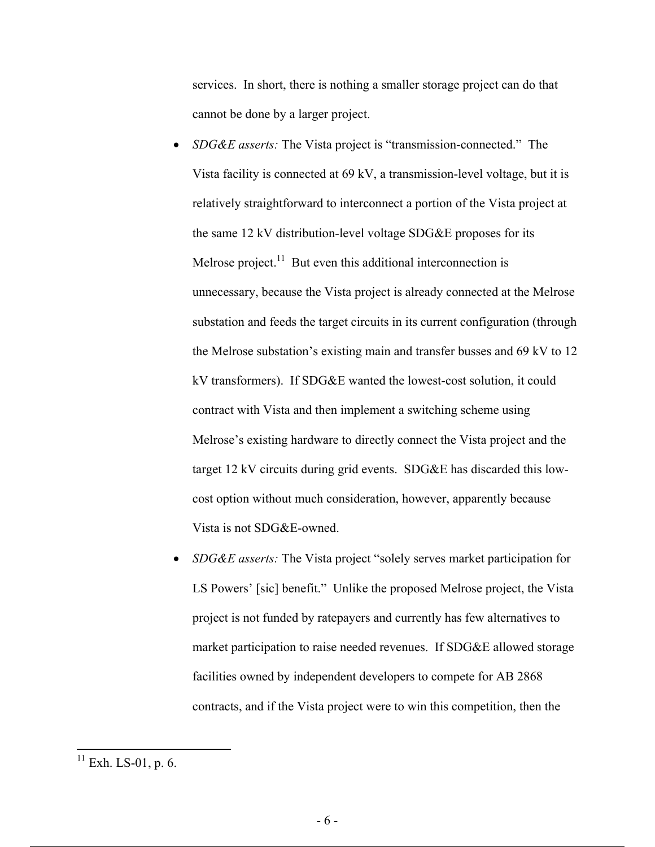services. In short, there is nothing a smaller storage project can do that cannot be done by a larger project.

- *SDG&E asserts:* The Vista project is "transmission-connected." The Vista facility is connected at 69 kV, a transmission-level voltage, but it is relatively straightforward to interconnect a portion of the Vista project at the same 12 kV distribution-level voltage SDG&E proposes for its Melrose project.<sup>11</sup> But even this additional interconnection is unnecessary, because the Vista project is already connected at the Melrose substation and feeds the target circuits in its current configuration (through the Melrose substation's existing main and transfer busses and 69 kV to 12 kV transformers). If SDG&E wanted the lowest-cost solution, it could contract with Vista and then implement a switching scheme using Melrose's existing hardware to directly connect the Vista project and the target 12 kV circuits during grid events. SDG&E has discarded this lowcost option without much consideration, however, apparently because Vista is not SDG&E-owned.
- *SDG&E asserts:* The Vista project "solely serves market participation for LS Powers' [sic] benefit." Unlike the proposed Melrose project, the Vista project is not funded by ratepayers and currently has few alternatives to market participation to raise needed revenues. If SDG&E allowed storage facilities owned by independent developers to compete for AB 2868 contracts, and if the Vista project were to win this competition, then the

 $11$  Exh. LS-01, p. 6.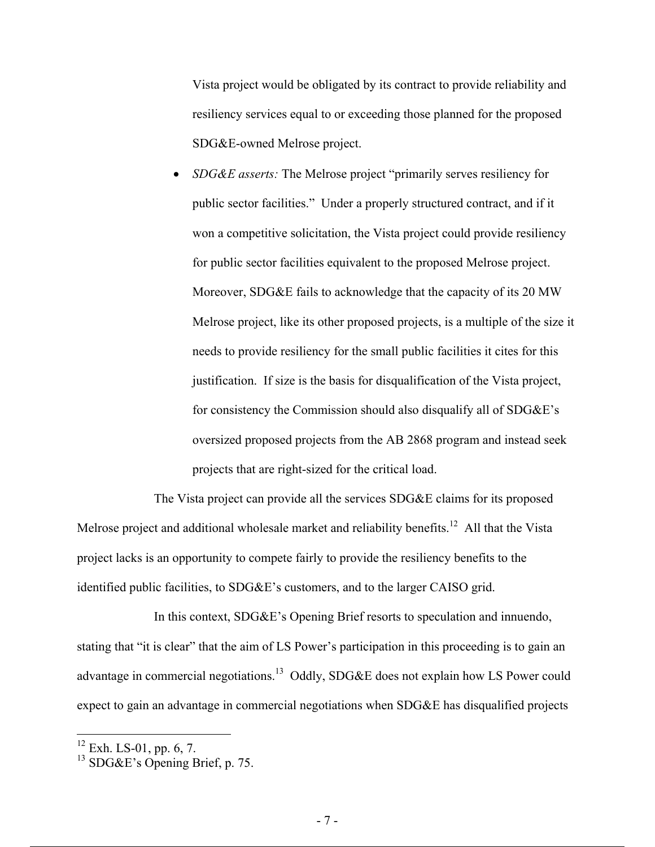Vista project would be obligated by its contract to provide reliability and resiliency services equal to or exceeding those planned for the proposed SDG&E-owned Melrose project.

 *SDG&E asserts:* The Melrose project "primarily serves resiliency for public sector facilities." Under a properly structured contract, and if it won a competitive solicitation, the Vista project could provide resiliency for public sector facilities equivalent to the proposed Melrose project. Moreover, SDG&E fails to acknowledge that the capacity of its 20 MW Melrose project, like its other proposed projects, is a multiple of the size it needs to provide resiliency for the small public facilities it cites for this justification. If size is the basis for disqualification of the Vista project, for consistency the Commission should also disqualify all of SDG&E's oversized proposed projects from the AB 2868 program and instead seek projects that are right-sized for the critical load.

The Vista project can provide all the services SDG&E claims for its proposed Melrose project and additional wholesale market and reliability benefits.<sup>12</sup> All that the Vista project lacks is an opportunity to compete fairly to provide the resiliency benefits to the identified public facilities, to SDG&E's customers, and to the larger CAISO grid.

In this context, SDG&E's Opening Brief resorts to speculation and innuendo, stating that "it is clear" that the aim of LS Power's participation in this proceeding is to gain an advantage in commercial negotiations.<sup>13</sup> Oddly, SDG&E does not explain how LS Power could expect to gain an advantage in commercial negotiations when SDG&E has disqualified projects

 $12$  Exh. LS-01, pp. 6, 7.

<sup>13</sup> SDG&E's Opening Brief, p. 75.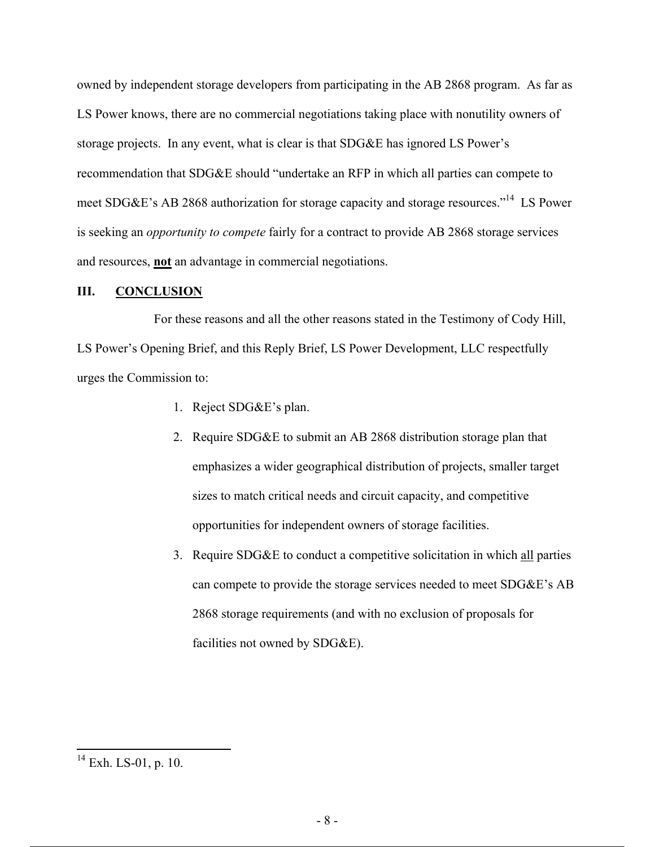owned by independent storage developers from participating in the AB 2868 program. As far as LS Power knows, there are no commercial negotiations taking place with nonutility owners of storage projects. In any event, what is clear is that SDG&E has ignored LS Power's recommendation that SDG&E should "undertake an RFP in which all parties can compete to meet SDG&E's AB 2868 authorization for storage capacity and storage resources."<sup>14</sup> LS Power is seeking an *opportunity to compete* fairly for a contract to provide AB 2868 storage services and resources, **not** an advantage in commercial negotiations.

#### **III. CONCLUSION**

For these reasons and all the other reasons stated in the Testimony of Cody Hill, LS Power's Opening Brief, and this Reply Brief, LS Power Development, LLC respectfully urges the Commission to:

- 1. Reject SDG&E's plan.
- 2. Require SDG&E to submit an AB 2868 distribution storage plan that emphasizes a wider geographical distribution of projects, smaller target sizes to match critical needs and circuit capacity, and competitive opportunities for independent owners of storage facilities.
- 3. Require SDG&E to conduct a competitive solicitation in which all parties can compete to provide the storage services needed to meet SDG&E's AB 2868 storage requirements (and with no exclusion of proposals for facilities not owned by SDG&E).

 $14$  Exh. LS-01, p. 10.